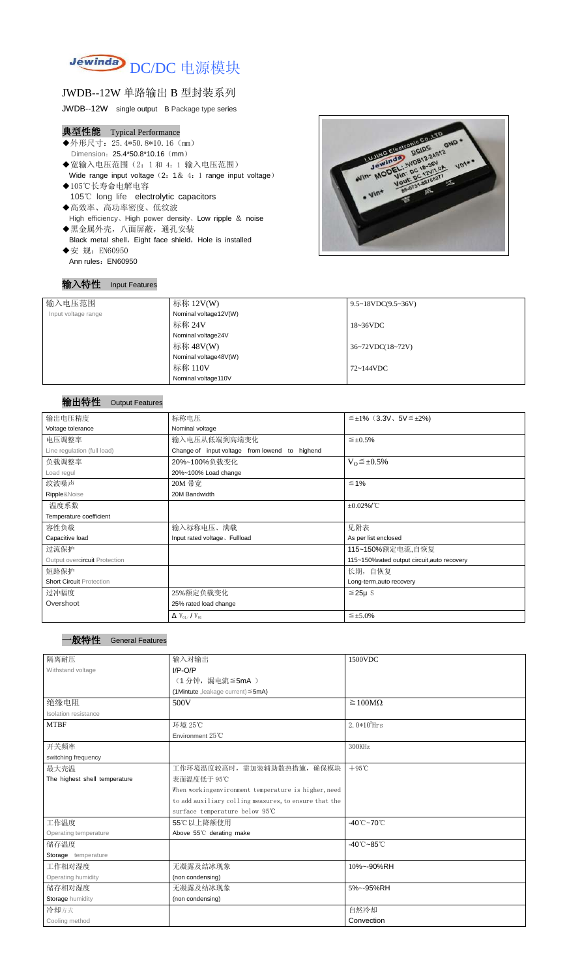

## JWDB--12W 单路输出 B 型封装系列

JWDB--12W single output B Package type series

# 典型性能 Typical Performance

- ◆外形尺寸: 25.4\*50.8\*10.16 (mm) Dimension: 25.4\*50.8\*10.16 (mm)
- ◆宽输入电压范围(2:1 和 4:1 输入电压范围) Wide range input voltage  $(2: 1& 4:1$  range input voltage)
- ◆105℃长寿命电解电容 105℃ long life electrolytic capacitors
- ◆高效率、高功率密度、低纹波 High efficiency、High power density、Low ripple & noise ◆黑金属外壳,八面屏蔽,通孔安装
- Black metal shell, Eight face shield, Hole is installed
- ◆安 规: EN60950 Ann rules: EN60950

### 输入特性 Input Features



### 输出特性 Output Features

| <b>General Features</b> |
|-------------------------|
|                         |

| 输入电压范围              | 标称 $12V(W)$           | $9.5 \sim 18 VDC(9.5 \sim 36 V)$     |
|---------------------|-----------------------|--------------------------------------|
| Input voltage range | Nominal voltage12V(W) |                                      |
|                     | 标称 24V                | $18~36\textrm{VDC}$                  |
|                     | Nominal voltage24V    |                                      |
|                     | 标称 48V(W)             | $36~72\textrm{VDC}(18~72\textrm{V})$ |
|                     | Nominal voltage48V(W) |                                      |
|                     | 标称 110V               | 72~144VDC                            |
|                     | Nominal voltage110V   |                                      |

| 输出电压精度                          | 标称电压<br>$\leq \pm 1\%$ (3.3V, 5V $\leq \pm 2\%$ )     |                                             |  |  |
|---------------------------------|-------------------------------------------------------|---------------------------------------------|--|--|
| Voltage tolerance               | Nominal voltage                                       |                                             |  |  |
| 电压调整率                           | 输入电压从低端到高端变化<br>$\leq \pm 0.5\%$                      |                                             |  |  |
| Line regulation (full load)     | Change of input voltage from lowend to highend        |                                             |  |  |
| 负载调整率                           | 20%~100%负载变化                                          | $V_0 \leq \pm 0.5\%$                        |  |  |
| Load regul                      | 20%~100% Load change                                  |                                             |  |  |
| 纹波噪声                            | 20M 带宽                                                | $\leq 1\%$                                  |  |  |
| Ripple&Noise                    | 20M Bandwidth                                         |                                             |  |  |
| 温度系数                            |                                                       | $\pm 0.02\%$ /°C                            |  |  |
| Temperature coefficient         |                                                       |                                             |  |  |
| 容性负载                            | 输入标称电压、满载                                             | 见附表                                         |  |  |
| Capacitive load                 | Input rated voltage, Fullload<br>As per list enclosed |                                             |  |  |
| 过流保护                            |                                                       | 115~150%额定电流,自恢复                            |  |  |
| Output overcircuit Protection   |                                                       | 115~150%rated output circuit, auto recovery |  |  |
| 短路保护                            |                                                       | 长期, 自恢复                                     |  |  |
| <b>Short Circuit Protection</b> |                                                       | Long-term, auto recovery                    |  |  |
| 过冲幅度                            | 25%额定负载变化                                             | $≤25\mu$ S                                  |  |  |
| Overshoot                       | 25% rated load change                                 |                                             |  |  |
|                                 | $\Delta$ V <sub>01</sub> /V <sub>01</sub>             | $\leq \pm 5.0\%$                            |  |  |

| 隔离耐压                          | 输入对输出                                                 | 1500VDC                         |
|-------------------------------|-------------------------------------------------------|---------------------------------|
| Withstand voltage             | $I/P$ -O/P                                            |                                 |
|                               | (1分钟,漏电流≦5mA)                                         |                                 |
|                               | (1Mintute, leakage current) $\leq$ 5mA)               |                                 |
| 绝缘电阻                          | 500V                                                  | $\geq 100M\Omega$               |
| Isolation resistance          |                                                       |                                 |
| <b>MTBF</b>                   | 环境 25℃                                                | $2.0*105$ Hrs                   |
|                               | Environment 25°C                                      |                                 |
| 开关频率                          |                                                       | 300KHz                          |
| switching frequency           |                                                       |                                 |
| 最大壳温                          | 工作环境温度较高时, 需加装辅助散热措施, 确保模块                            | $+95^{\circ}$ C                 |
| The highest shell temperature | 表面温度低于 95℃                                            |                                 |
|                               | When workingenvironment temperature is higher, need   |                                 |
|                               | to add auxiliary colling measures, to ensure that the |                                 |
|                               | surface temperature below 95℃                         |                                 |
| 工作温度                          | 55℃以上降额使用                                             | $-40^{\circ}$ C $-70^{\circ}$ C |
| Operating temperature         | Above 55°C derating make                              |                                 |
| 储存温度                          |                                                       | $-40^{\circ}$ C $-85^{\circ}$ C |
| Storage temperature           |                                                       |                                 |
| 工作相对湿度                        | 无凝露及结冰现象                                              | 10%~-90%RH                      |
| Operating humidity            | (non condensing)                                      |                                 |
| 储存相对湿度                        | 无凝露及结冰现象<br>5%~-95%RH                                 |                                 |
| Storage humidity              | (non condensing)                                      |                                 |
| 冷却方式                          |                                                       | 自然冷却                            |
| Cooling method                |                                                       | Convection                      |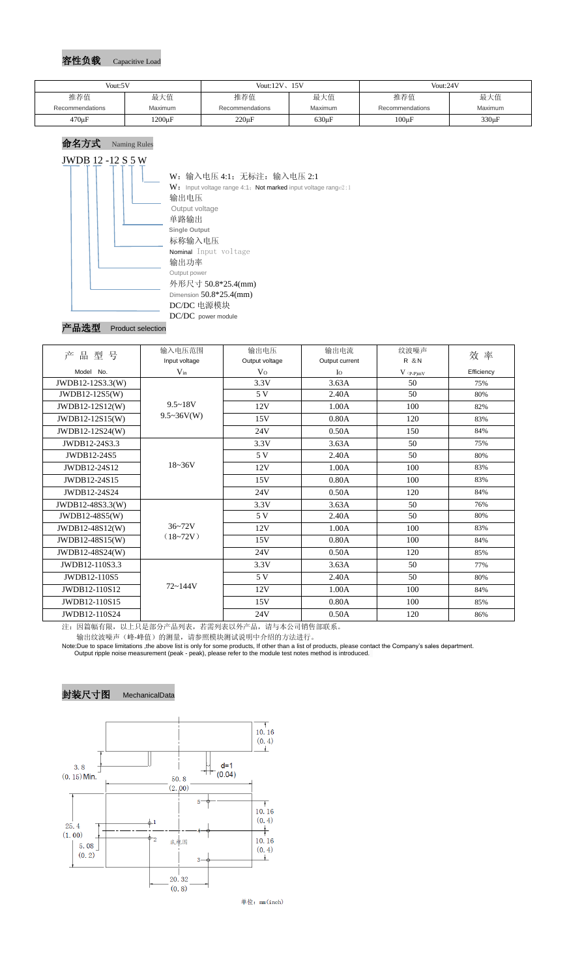### 容性负载 Capacitive Load



### 产品选型 Product selection

| 产品型号             | 输入电压范围                   | 输出电压           | 输出电流           | 纹波噪声                                   | 效 率        |
|------------------|--------------------------|----------------|----------------|----------------------------------------|------------|
|                  | Input voltage            | Output voltage | Output current | <b>R</b> & N                           |            |
| Model No.        | $V_{in}$                 | V <sub>0</sub> | $I_{\rm O}$    | $V$ $\mathrm{(}p\text{-}p\mathrm{)}mV$ | Efficiency |
| JWDB12-12S3.3(W) |                          | 3.3V           | 3.63A          | 50                                     | 75%        |
| $JWDB12-12S5(W)$ |                          | 5 V            | 2.40A          | 50                                     | 80%        |
| JWDB12-12S12(W)  | $9.5 - 18V$              | 12V            | 1.00A          | 100                                    | 82%        |
| JWDB12-12S15(W)  | $9.5 \sim 36V(W)$        | 15V            | 0.80A          | 120                                    | 83%        |
| JWDB12-12S24(W)  |                          | 24V            | 0.50A          | 150                                    | 84%        |
| JWDB12-24S3.3    |                          | 3.3V           | 3.63A          | 50                                     | 75%        |
| JWDB12-24S5      | $18 - 36V$               | 5V             | 2.40A          | 50                                     | 80%        |
| JWDB12-24S12     |                          | 12V            | 1.00A          | 100                                    | 83%        |
| JWDB12-24S15     |                          | 15V            | 0.80A          | 100                                    | 83%        |
| JWDB12-24S24     |                          | 24V            | 0.50A          | 120                                    | 84%        |
| JWDB12-48S3.3(W) |                          | 3.3V           | 3.63A          | 50                                     | 76%        |
| JWDB12-48S5(W)   |                          | 5 V            | 2.40A          | 50                                     | 80%        |
| JWDB12-48S12(W)  | $36 - 72V$<br>$(18-72V)$ | 12V            | 1.00A          | 100                                    | 83%        |
| JWDB12-48S15(W)  |                          | 15V            | 0.80A          | 100                                    | 84%        |
| JWDB12-48S24(W)  |                          | 24V            | 0.50A          | 120                                    | 85%        |
| JWDB12-110S3.3   |                          | 3.3V           | 3.63A          | 50                                     | 77%        |
| JWDB12-110S5     | $72 - 144V$              | 5V             | 2.40A          | 50                                     | 80%        |
| JWDB12-110S12    |                          | 12V            | 1.00A          | 100                                    | 84%        |
| JWDB12-110S15    |                          | 15V            | 0.80A          | 100                                    | 85%        |
| JWDB12-110S24    |                          | 24V            | 0.50A          | 120                                    | 86%        |

#### 注:因篇幅有限,以上只是部分产品列表,若需列表以外产品,请与本公司销售部联系。 输出纹波噪声(峰-峰值)的测量,请参照模块测试说明中介绍的方法进行。

Note:Due to space limitations ,the above list is only for some products, If other than a list of products, please contact the Company's sales department. Output ripple noise measurement (peak - peak), please refer to the module test notes method is introduced.

# 封装尺寸图 MechanicalData



单位: mm(inch)

| Vout:5V         |              | Vout: $12V$ , $15V$ |                | Vout:24V        |         |
|-----------------|--------------|---------------------|----------------|-----------------|---------|
| 推荐值             | 最大值          | 推荐值                 | 最大值            | 推荐值             | 最大值     |
| Recommendations | Maximum      | Recommendations     | <b>Maximum</b> | Recommendations | Maximum |
| $470 \mu F$     | $1200 \mu F$ | $220 \mu F$         | $630 \mu F$    | $100\mu F$      | 330µF   |